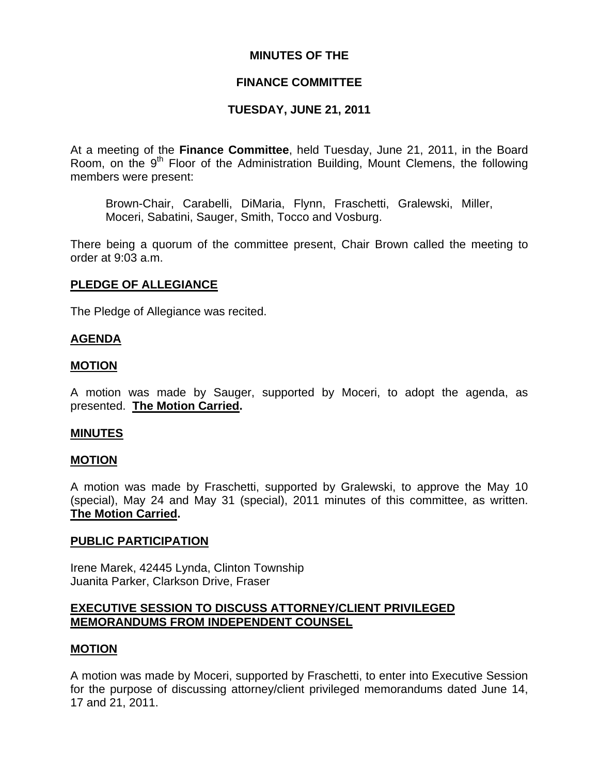## **MINUTES OF THE**

## **FINANCE COMMITTEE**

# **TUESDAY, JUNE 21, 2011**

At a meeting of the **Finance Committee**, held Tuesday, June 21, 2011, in the Board Room, on the  $9<sup>th</sup>$  Floor of the Administration Building, Mount Clemens, the following members were present:

Brown-Chair, Carabelli, DiMaria, Flynn, Fraschetti, Gralewski, Miller, Moceri, Sabatini, Sauger, Smith, Tocco and Vosburg.

There being a quorum of the committee present, Chair Brown called the meeting to order at 9:03 a.m.

## **PLEDGE OF ALLEGIANCE**

The Pledge of Allegiance was recited.

### **AGENDA**

### **MOTION**

A motion was made by Sauger, supported by Moceri, to adopt the agenda, as presented. **The Motion Carried.** 

### **MINUTES**

### **MOTION**

A motion was made by Fraschetti, supported by Gralewski, to approve the May 10 (special), May 24 and May 31 (special), 2011 minutes of this committee, as written. **The Motion Carried.** 

### **PUBLIC PARTICIPATION**

Irene Marek, 42445 Lynda, Clinton Township Juanita Parker, Clarkson Drive, Fraser

## **EXECUTIVE SESSION TO DISCUSS ATTORNEY/CLIENT PRIVILEGED MEMORANDUMS FROM INDEPENDENT COUNSEL**

### **MOTION**

A motion was made by Moceri, supported by Fraschetti, to enter into Executive Session for the purpose of discussing attorney/client privileged memorandums dated June 14, 17 and 21, 2011.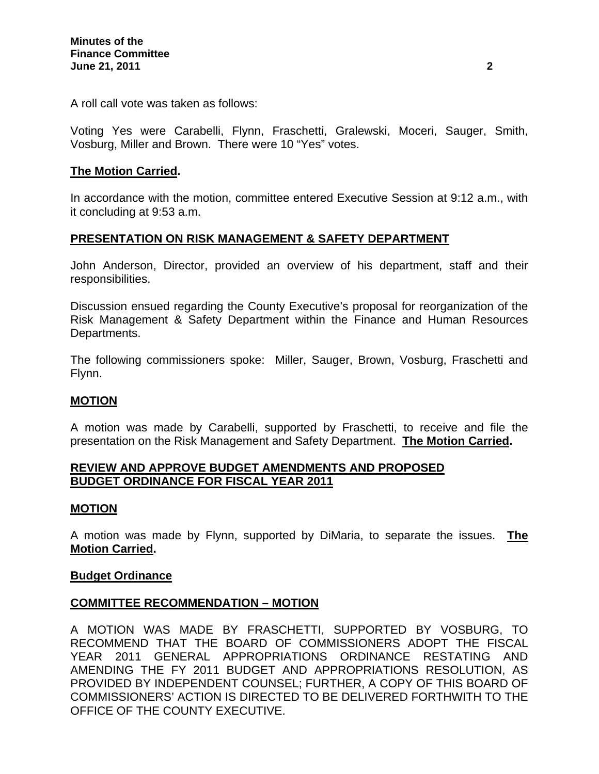A roll call vote was taken as follows:

Voting Yes were Carabelli, Flynn, Fraschetti, Gralewski, Moceri, Sauger, Smith, Vosburg, Miller and Brown. There were 10 "Yes" votes.

### **The Motion Carried.**

In accordance with the motion, committee entered Executive Session at 9:12 a.m., with it concluding at 9:53 a.m.

## **PRESENTATION ON RISK MANAGEMENT & SAFETY DEPARTMENT**

John Anderson, Director, provided an overview of his department, staff and their responsibilities.

Discussion ensued regarding the County Executive's proposal for reorganization of the Risk Management & Safety Department within the Finance and Human Resources Departments.

The following commissioners spoke: Miller, Sauger, Brown, Vosburg, Fraschetti and Flynn.

### **MOTION**

A motion was made by Carabelli, supported by Fraschetti, to receive and file the presentation on the Risk Management and Safety Department. **The Motion Carried.** 

### **REVIEW AND APPROVE BUDGET AMENDMENTS AND PROPOSED BUDGET ORDINANCE FOR FISCAL YEAR 2011**

### **MOTION**

A motion was made by Flynn, supported by DiMaria, to separate the issues. **The Motion Carried.** 

#### **Budget Ordinance**

### **COMMITTEE RECOMMENDATION – MOTION**

A MOTION WAS MADE BY FRASCHETTI, SUPPORTED BY VOSBURG, TO RECOMMEND THAT THE BOARD OF COMMISSIONERS ADOPT THE FISCAL YEAR 2011 GENERAL APPROPRIATIONS ORDINANCE RESTATING AND AMENDING THE FY 2011 BUDGET AND APPROPRIATIONS RESOLUTION, AS PROVIDED BY INDEPENDENT COUNSEL; FURTHER, A COPY OF THIS BOARD OF COMMISSIONERS' ACTION IS DIRECTED TO BE DELIVERED FORTHWITH TO THE OFFICE OF THE COUNTY EXECUTIVE.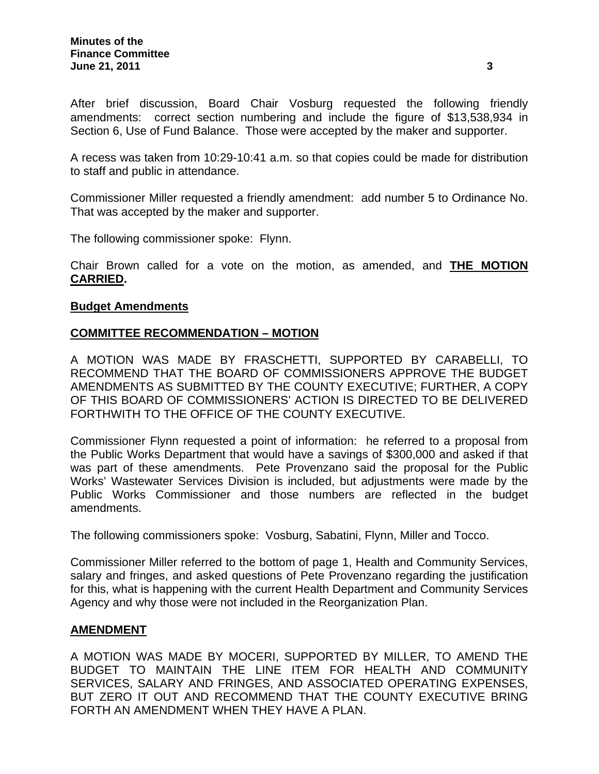After brief discussion, Board Chair Vosburg requested the following friendly amendments: correct section numbering and include the figure of \$13,538,934 in Section 6, Use of Fund Balance. Those were accepted by the maker and supporter.

A recess was taken from 10:29-10:41 a.m. so that copies could be made for distribution to staff and public in attendance.

Commissioner Miller requested a friendly amendment: add number 5 to Ordinance No. That was accepted by the maker and supporter.

The following commissioner spoke: Flynn.

Chair Brown called for a vote on the motion, as amended, and **THE MOTION CARRIED.**

### **Budget Amendments**

## **COMMITTEE RECOMMENDATION – MOTION**

A MOTION WAS MADE BY FRASCHETTI, SUPPORTED BY CARABELLI, TO RECOMMEND THAT THE BOARD OF COMMISSIONERS APPROVE THE BUDGET AMENDMENTS AS SUBMITTED BY THE COUNTY EXECUTIVE; FURTHER, A COPY OF THIS BOARD OF COMMISSIONERS' ACTION IS DIRECTED TO BE DELIVERED FORTHWITH TO THE OFFICE OF THE COUNTY EXECUTIVE.

Commissioner Flynn requested a point of information: he referred to a proposal from the Public Works Department that would have a savings of \$300,000 and asked if that was part of these amendments. Pete Provenzano said the proposal for the Public Works' Wastewater Services Division is included, but adjustments were made by the Public Works Commissioner and those numbers are reflected in the budget amendments.

The following commissioners spoke: Vosburg, Sabatini, Flynn, Miller and Tocco.

Commissioner Miller referred to the bottom of page 1, Health and Community Services, salary and fringes, and asked questions of Pete Provenzano regarding the justification for this, what is happening with the current Health Department and Community Services Agency and why those were not included in the Reorganization Plan.

### **AMENDMENT**

A MOTION WAS MADE BY MOCERI, SUPPORTED BY MILLER, TO AMEND THE BUDGET TO MAINTAIN THE LINE ITEM FOR HEALTH AND COMMUNITY SERVICES, SALARY AND FRINGES, AND ASSOCIATED OPERATING EXPENSES, BUT ZERO IT OUT AND RECOMMEND THAT THE COUNTY EXECUTIVE BRING FORTH AN AMENDMENT WHEN THEY HAVE A PLAN.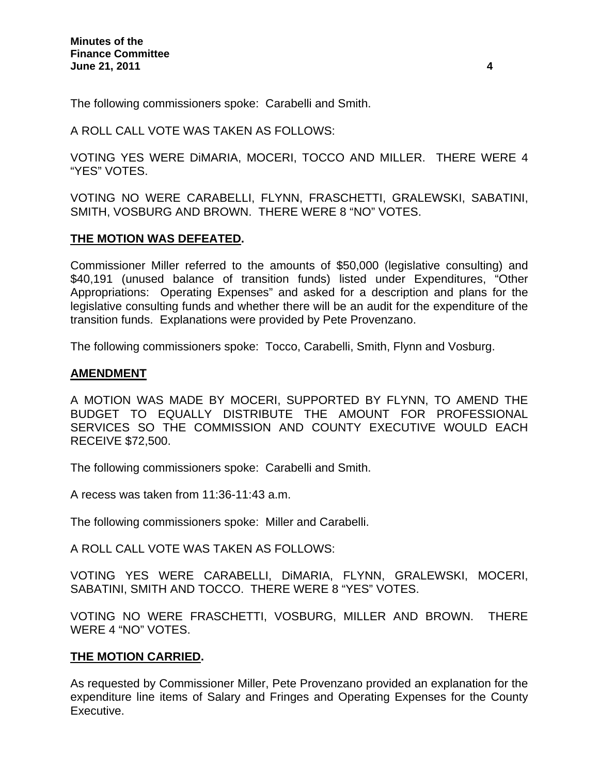The following commissioners spoke: Carabelli and Smith.

A ROLL CALL VOTE WAS TAKEN AS FOLLOWS:

VOTING YES WERE DiMARIA, MOCERI, TOCCO AND MILLER. THERE WERE 4 "YES" VOTES.

VOTING NO WERE CARABELLI, FLYNN, FRASCHETTI, GRALEWSKI, SABATINI, SMITH, VOSBURG AND BROWN. THERE WERE 8 "NO" VOTES.

## **THE MOTION WAS DEFEATED.**

Commissioner Miller referred to the amounts of \$50,000 (legislative consulting) and \$40,191 (unused balance of transition funds) listed under Expenditures, "Other Appropriations: Operating Expenses" and asked for a description and plans for the legislative consulting funds and whether there will be an audit for the expenditure of the transition funds. Explanations were provided by Pete Provenzano.

The following commissioners spoke: Tocco, Carabelli, Smith, Flynn and Vosburg.

### **AMENDMENT**

A MOTION WAS MADE BY MOCERI, SUPPORTED BY FLYNN, TO AMEND THE BUDGET TO EQUALLY DISTRIBUTE THE AMOUNT FOR PROFESSIONAL SERVICES SO THE COMMISSION AND COUNTY EXECUTIVE WOULD EACH RECEIVE \$72,500.

The following commissioners spoke: Carabelli and Smith.

A recess was taken from 11:36-11:43 a.m.

The following commissioners spoke: Miller and Carabelli.

A ROLL CALL VOTE WAS TAKEN AS FOLLOWS:

VOTING YES WERE CARABELLI, DiMARIA, FLYNN, GRALEWSKI, MOCERI, SABATINI, SMITH AND TOCCO. THERE WERE 8 "YES" VOTES.

VOTING NO WERE FRASCHETTI, VOSBURG, MILLER AND BROWN. THERE WERE 4 "NO" VOTES.

## **THE MOTION CARRIED.**

As requested by Commissioner Miller, Pete Provenzano provided an explanation for the expenditure line items of Salary and Fringes and Operating Expenses for the County Executive.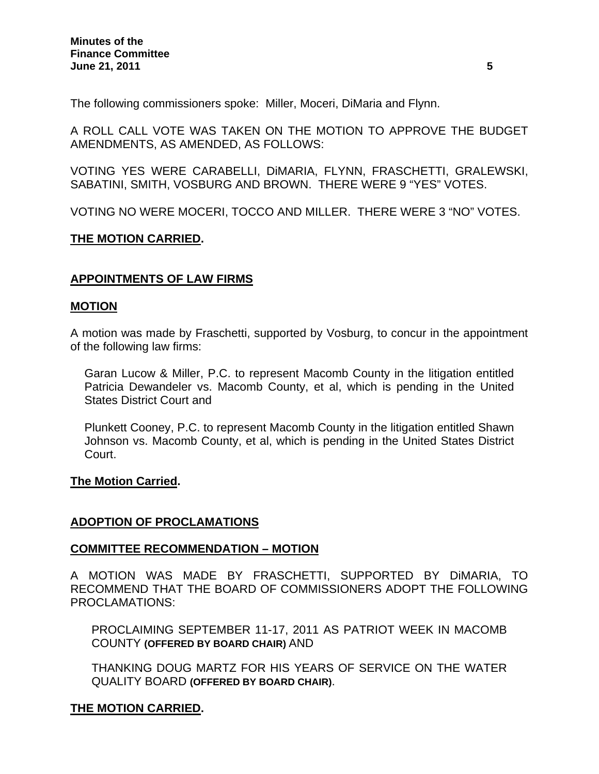The following commissioners spoke: Miller, Moceri, DiMaria and Flynn.

A ROLL CALL VOTE WAS TAKEN ON THE MOTION TO APPROVE THE BUDGET AMENDMENTS, AS AMENDED, AS FOLLOWS:

VOTING YES WERE CARABELLI, DiMARIA, FLYNN, FRASCHETTI, GRALEWSKI, SABATINI, SMITH, VOSBURG AND BROWN. THERE WERE 9 "YES" VOTES.

VOTING NO WERE MOCERI, TOCCO AND MILLER. THERE WERE 3 "NO" VOTES.

## **THE MOTION CARRIED.**

## **APPOINTMENTS OF LAW FIRMS**

### **MOTION**

A motion was made by Fraschetti, supported by Vosburg, to concur in the appointment of the following law firms:

Garan Lucow & Miller, P.C. to represent Macomb County in the litigation entitled Patricia Dewandeler vs. Macomb County, et al, which is pending in the United States District Court and

Plunkett Cooney, P.C. to represent Macomb County in the litigation entitled Shawn Johnson vs. Macomb County, et al, which is pending in the United States District Court.

### **The Motion Carried.**

### **ADOPTION OF PROCLAMATIONS**

### **COMMITTEE RECOMMENDATION – MOTION**

A MOTION WAS MADE BY FRASCHETTI, SUPPORTED BY DiMARIA, TO RECOMMEND THAT THE BOARD OF COMMISSIONERS ADOPT THE FOLLOWING PROCLAMATIONS:

PROCLAIMING SEPTEMBER 11-17, 2011 AS PATRIOT WEEK IN MACOMB COUNTY **(OFFERED BY BOARD CHAIR)** AND

THANKING DOUG MARTZ FOR HIS YEARS OF SERVICE ON THE WATER QUALITY BOARD **(OFFERED BY BOARD CHAIR)**.

### **THE MOTION CARRIED.**